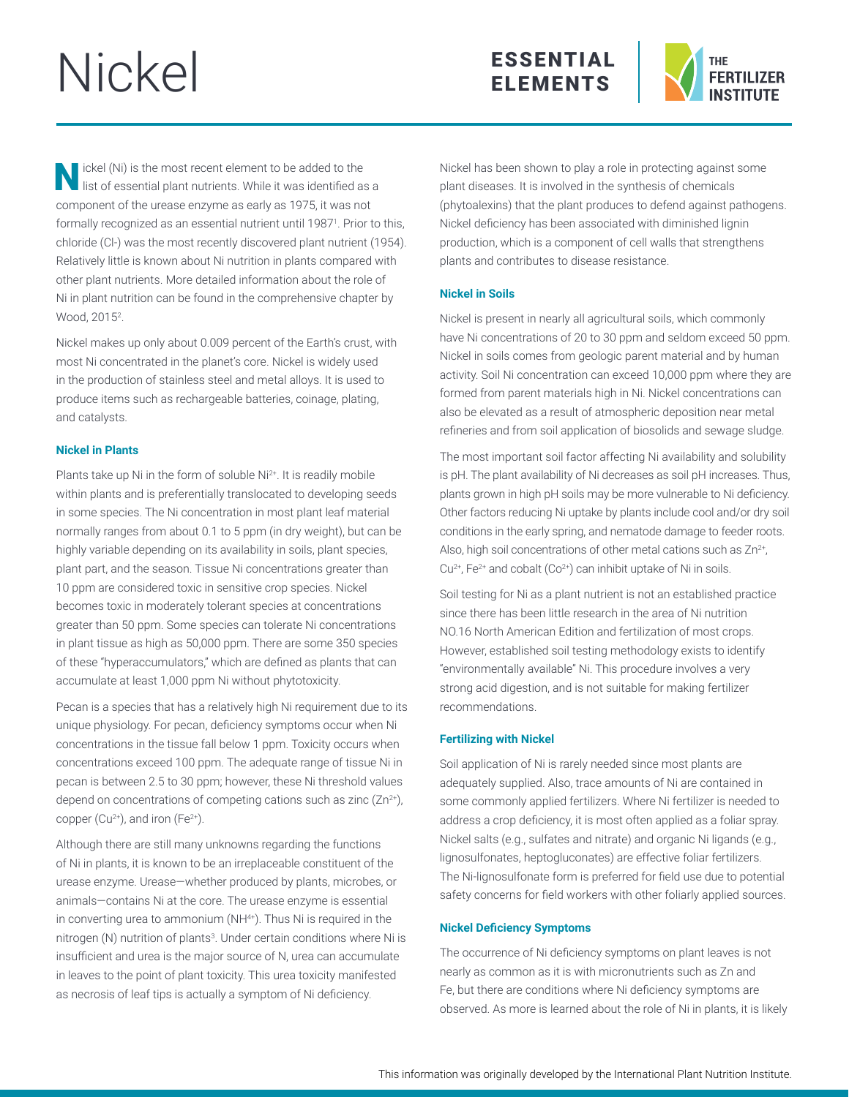# Nickel





N ickel (Ni) is the most recent element to be added to the list of essential plant nutrients. While it was identified as a component of the urease enzyme as early as 1975, it was not formally recognized as an essential nutrient until 1987<sup>1</sup>. Prior to this, chloride (Cl-) was the most recently discovered plant nutrient (1954). Relatively little is known about Ni nutrition in plants compared with other plant nutrients. More detailed information about the role of Ni in plant nutrition can be found in the comprehensive chapter by Wood, 2015<sup>2</sup>.

Nickel makes up only about 0.009 percent of the Earth's crust, with most Ni concentrated in the planet's core. Nickel is widely used in the production of stainless steel and metal alloys. It is used to produce items such as rechargeable batteries, coinage, plating, and catalysts.

### **Nickel in Plants**

Plants take up Ni in the form of soluble Ni<sup>2+</sup>. It is readily mobile within plants and is preferentially translocated to developing seeds in some species. The Ni concentration in most plant leaf material normally ranges from about 0.1 to 5 ppm (in dry weight), but can be highly variable depending on its availability in soils, plant species, plant part, and the season. Tissue Ni concentrations greater than 10 ppm are considered toxic in sensitive crop species. Nickel becomes toxic in moderately tolerant species at concentrations greater than 50 ppm. Some species can tolerate Ni concentrations in plant tissue as high as 50,000 ppm. There are some 350 species of these "hyperaccumulators," which are defined as plants that can accumulate at least 1,000 ppm Ni without phytotoxicity.

Pecan is a species that has a relatively high Ni requirement due to its unique physiology. For pecan, deficiency symptoms occur when Ni concentrations in the tissue fall below 1 ppm. Toxicity occurs when concentrations exceed 100 ppm. The adequate range of tissue Ni in pecan is between 2.5 to 30 ppm; however, these Ni threshold values depend on concentrations of competing cations such as zinc  $(Zn^{2+})$ , copper  $(Cu^{2+})$ , and iron  $(Fe^{2+})$ .

Although there are still many unknowns regarding the functions of Ni in plants, it is known to be an irreplaceable constituent of the urease enzyme. Urease—whether produced by plants, microbes, or animals—contains Ni at the core. The urease enzyme is essential in converting urea to ammonium (NH<sup>4+</sup>). Thus Ni is required in the nitrogen (N) nutrition of plants<sup>3</sup>. Under certain conditions where Ni is insufficient and urea is the major source of N, urea can accumulate in leaves to the point of plant toxicity. This urea toxicity manifested as necrosis of leaf tips is actually a symptom of Ni deficiency.

Nickel has been shown to play a role in protecting against some plant diseases. It is involved in the synthesis of chemicals (phytoalexins) that the plant produces to defend against pathogens. Nickel deficiency has been associated with diminished lignin production, which is a component of cell walls that strengthens plants and contributes to disease resistance.

# **Nickel in Soils**

Nickel is present in nearly all agricultural soils, which commonly have Ni concentrations of 20 to 30 ppm and seldom exceed 50 ppm. Nickel in soils comes from geologic parent material and by human activity. Soil Ni concentration can exceed 10,000 ppm where they are formed from parent materials high in Ni. Nickel concentrations can also be elevated as a result of atmospheric deposition near metal refineries and from soil application of biosolids and sewage sludge.

The most important soil factor affecting Ni availability and solubility is pH. The plant availability of Ni decreases as soil pH increases. Thus, plants grown in high pH soils may be more vulnerable to Ni deficiency. Other factors reducing Ni uptake by plants include cool and/or dry soil conditions in the early spring, and nematode damage to feeder roots. Also, high soil concentrations of other metal cations such as  $Zn^{2+}$ ,  $Cu^{2+}$ , Fe<sup>2+</sup> and cobalt ( $Co^{2+}$ ) can inhibit uptake of Ni in soils.

Soil testing for Ni as a plant nutrient is not an established practice since there has been little research in the area of Ni nutrition NO.16 North American Edition and fertilization of most crops. However, established soil testing methodology exists to identify "environmentally available" Ni. This procedure involves a very strong acid digestion, and is not suitable for making fertilizer recommendations.

# **Fertilizing with Nickel**

Soil application of Ni is rarely needed since most plants are adequately supplied. Also, trace amounts of Ni are contained in some commonly applied fertilizers. Where Ni fertilizer is needed to address a crop deficiency, it is most often applied as a foliar spray. Nickel salts (e.g., sulfates and nitrate) and organic Ni ligands (e.g., lignosulfonates, heptogluconates) are effective foliar fertilizers. The Ni-lignosulfonate form is preferred for field use due to potential safety concerns for field workers with other foliarly applied sources.

# **Nickel Deficiency Symptoms**

The occurrence of Ni deficiency symptoms on plant leaves is not nearly as common as it is with micronutrients such as Zn and Fe, but there are conditions where Ni deficiency symptoms are observed. As more is learned about the role of Ni in plants, it is likely